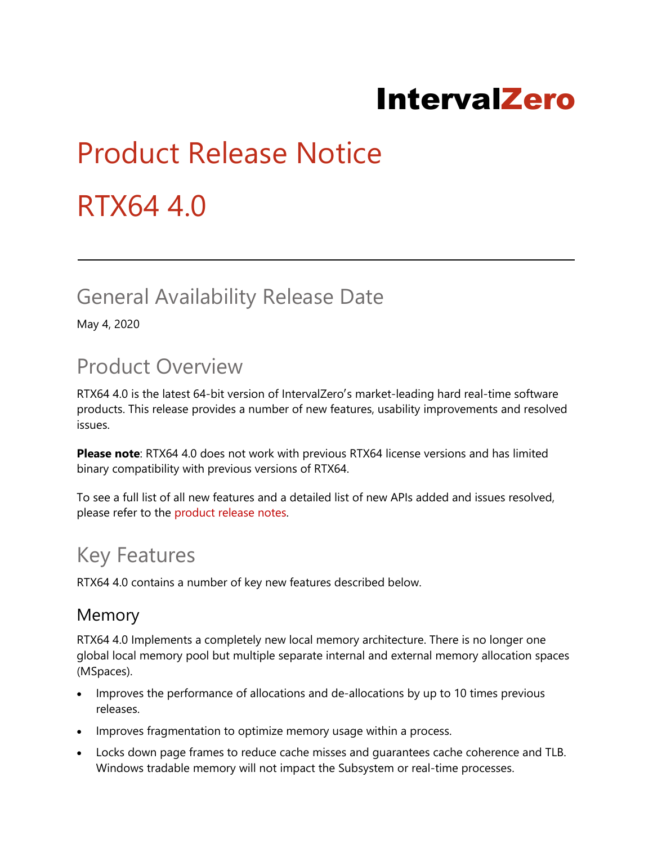## **IntervalZero**

# Product Release Notice RTX64 4.0

## General Availability Release Date

May 4, 2020

## Product Overview

RTX64 4.0 is the latest 64-bit version of IntervalZero′s market-leading hard real-time software products. This release provides a number of new features, usability improvements and resolved issues.

**Please note**: RTX64 4.0 does not work with previous RTX64 license versions and has limited binary compatibility with previous versions of RTX64.

To see a full list of all new features and a detailed list of new APIs added and issues resolved, please refer to the [product release notes.](https://help.intervalzero.com/product_help/RTX64_4/RTX64_4x_Help.htm#PROJECTS/Release Notes/RTX6440ReleaseNotes.htm)

## Key Features

RTX64 4.0 contains a number of key new features described below.

#### Memory

RTX64 4.0 Implements a completely new local memory architecture. There is no longer one global local memory pool but multiple separate internal and external memory allocation spaces (MSpaces).

- Improves the performance of allocations and de-allocations by up to 10 times previous releases.
- Improves fragmentation to optimize memory usage within a process.
- Locks down page frames to reduce cache misses and guarantees cache coherence and TLB. Windows tradable memory will not impact the Subsystem or real-time processes.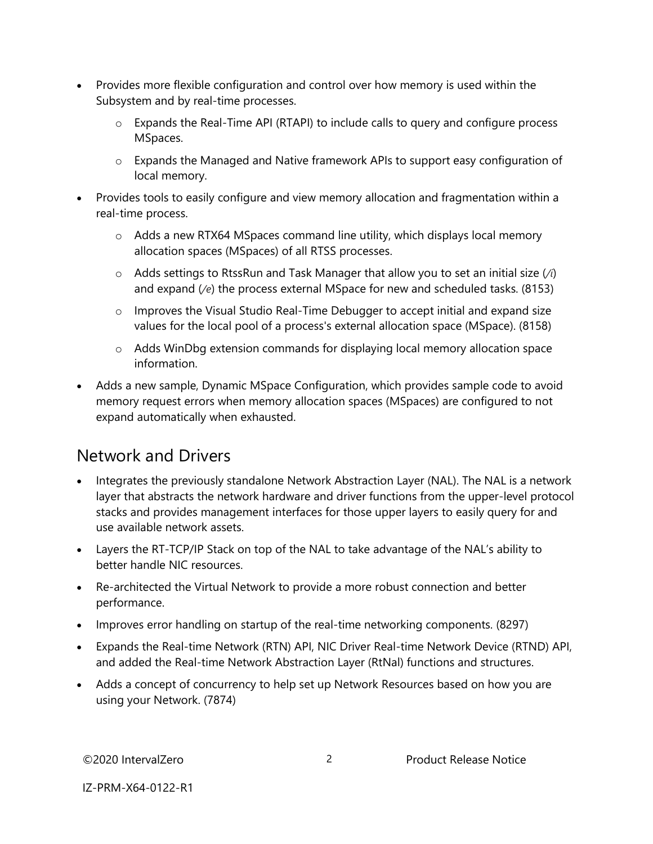- Provides more flexible configuration and control over how memory is used within the Subsystem and by real-time processes.
	- o Expands the Real-Time API (RTAPI) to include calls to query and configure process MSpaces.
	- $\circ$  Expands the Managed and Native framework APIs to support easy configuration of local memory.
- Provides tools to easily configure and view memory allocation and fragmentation within a real-time process.
	- $\circ$  Adds a new RTX64 MSpaces command line utility, which displays local memory allocation spaces (MSpaces) of all RTSS processes.
	- o Adds settings to RtssRun and Task Manager that allow you to set an initial size (*/i*) and expand (*/e*) the process external MSpace for new and scheduled tasks. (8153)
	- o Improves the Visual Studio Real-Time Debugger to accept initial and expand size values for the local pool of a process's external allocation space (MSpace). (8158)
	- o Adds WinDbg extension commands for displaying local memory allocation space information.
- Adds a new sample, Dynamic MSpace Configuration, which provides sample code to avoid memory request errors when memory allocation spaces (MSpaces) are configured to not expand automatically when exhausted.

#### Network and Drivers

- Integrates the previously standalone Network Abstraction Layer (NAL). The NAL is a network layer that abstracts the network hardware and driver functions from the upper-level protocol stacks and provides management interfaces for those upper layers to easily query for and use available network assets.
- Layers the RT-TCP/IP Stack on top of the NAL to take advantage of the NAL's ability to better handle NIC resources.
- Re-architected the Virtual Network to provide a more robust connection and better performance.
- Improves error handling on startup of the real-time networking components. (8297)
- Expands the Real-time Network (RTN) API, NIC Driver Real-time Network Device (RTND) API, and added the Real-time Network Abstraction Layer (RtNal) functions and structures.
- Adds a concept of concurrency to help set up Network Resources based on how you are using your Network. (7874)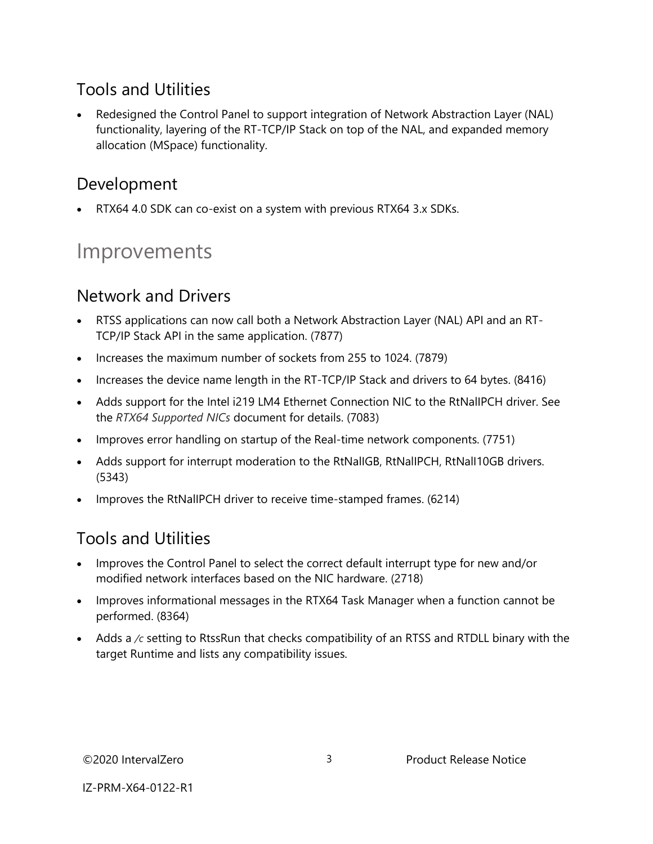#### Tools and Utilities

 Redesigned the Control Panel to support integration of Network Abstraction Layer (NAL) functionality, layering of the RT-TCP/IP Stack on top of the NAL, and expanded memory allocation (MSpace) functionality.

#### Development

RTX64 4.0 SDK can co-exist on a system with previous RTX64 3.x SDKs.

## Improvements

#### Network and Drivers

- RTSS applications can now call both a Network Abstraction Layer (NAL) API and an RT-TCP/IP Stack API in the same application. (7877)
- Increases the maximum number of sockets from 255 to 1024. (7879)
- Increases the device name length in the RT-TCP/IP Stack and drivers to 64 bytes. (8416)
- Adds support for the Intel i219 LM4 Ethernet Connection NIC to the RtNalIPCH driver. See the *RTX64 Supported NICs* document for details. (7083)
- Improves error handling on startup of the Real-time network components. (7751)
- Adds support for interrupt moderation to the RtNalIGB, RtNalIPCH, RtNalI10GB drivers. (5343)
- Improves the RtNalIPCH driver to receive time-stamped frames. (6214)

#### Tools and Utilities

- Improves the Control Panel to select the correct default interrupt type for new and/or modified network interfaces based on the NIC hardware. (2718)
- Improves informational messages in the RTX64 Task Manager when a function cannot be performed. (8364)
- Adds a */c* setting to RtssRun that checks compatibility of an RTSS and RTDLL binary with the target Runtime and lists any compatibility issues.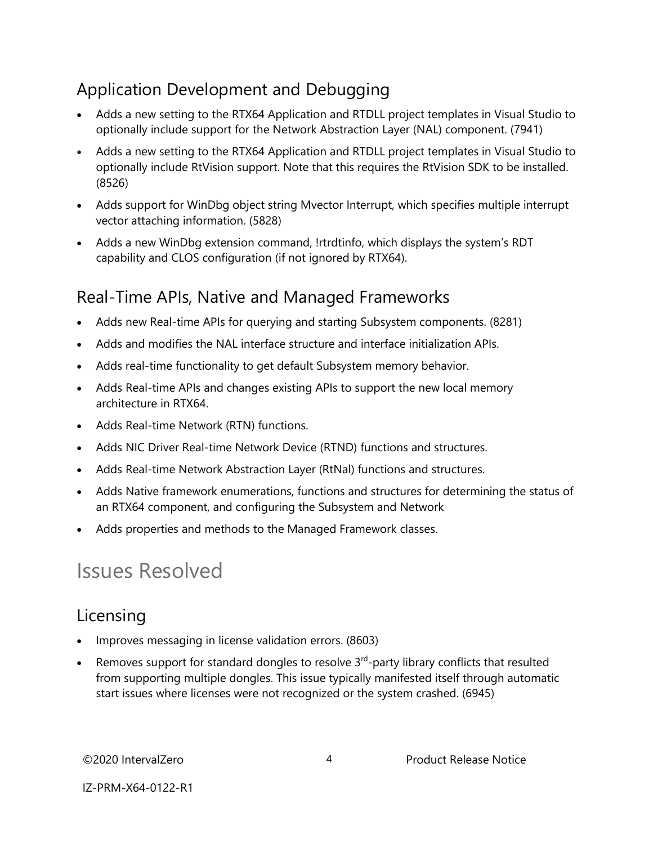#### Application Development and Debugging

- Adds a new setting to the RTX64 Application and RTDLL project templates in Visual Studio to optionally include support for the Network Abstraction Layer (NAL) component. (7941)
- Adds a new setting to the RTX64 Application and RTDLL project templates in Visual Studio to optionally include RtVision support. Note that this requires the RtVision SDK to be installed. (8526)
- Adds support for WinDbg object string Mvector Interrupt, which specifies multiple interrupt vector attaching information. (5828)
- Adds a new WinDbg extension command, !rtrdtinfo, which displays the system's RDT capability and CLOS configuration (if not ignored by RTX64).

#### Real-Time APIs, Native and Managed Frameworks

- Adds new Real-time APIs for querying and starting Subsystem components. (8281)
- Adds and modifies the NAL interface structure and interface initialization APIs.
- Adds real-time functionality to get default Subsystem memory behavior.
- Adds Real-time APIs and changes existing APIs to support the new local memory architecture in RTX64.
- Adds Real-time Network (RTN) functions.
- Adds NIC Driver Real-time Network Device (RTND) functions and structures.
- Adds Real-time Network Abstraction Layer (RtNal) functions and structures.
- Adds Native framework enumerations, functions and structures for determining the status of an RTX64 component, and configuring the Subsystem and Network
- Adds properties and methods to the Managed Framework classes.

### Issues Resolved

#### Licensing

- Improves messaging in license validation errors. (8603)
- Exercise 8 Removes support for standard dongles to resolve  $3^{rd}$ -party library conflicts that resulted from supporting multiple dongles. This issue typically manifested itself through automatic start issues where licenses were not recognized or the system crashed. (6945)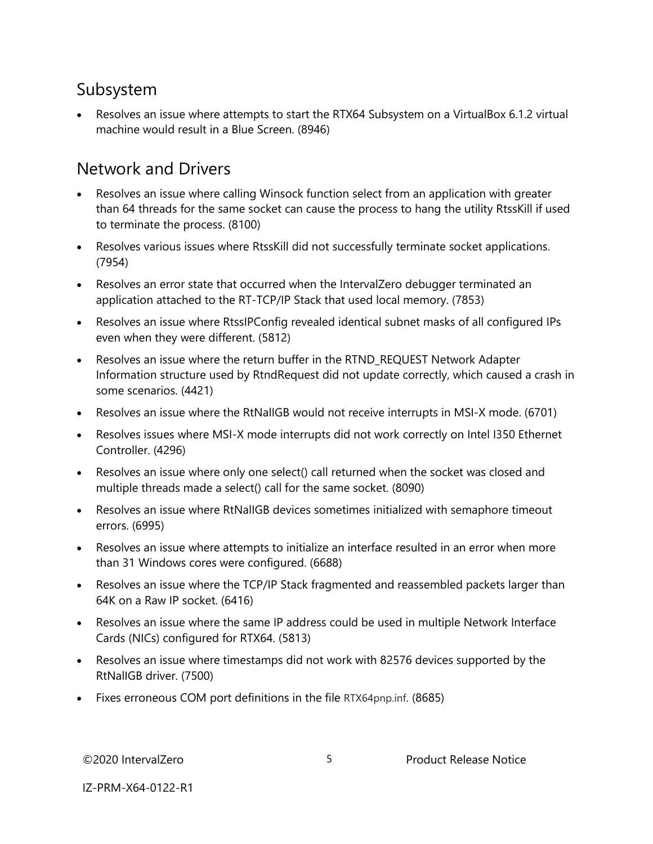#### Subsystem

 Resolves an issue where attempts to start the RTX64 Subsystem on a VirtualBox 6.1.2 virtual machine would result in a Blue Screen. (8946)

#### Network and Drivers

- Resolves an issue where calling Winsock function select from an application with greater than 64 threads for the same socket can cause the process to hang the utility RtssKill if used to terminate the process. (8100)
- Resolves various issues where RtssKill did not successfully terminate socket applications. (7954)
- Resolves an error state that occurred when the IntervalZero debugger terminated an application attached to the RT-TCP/IP Stack that used local memory. (7853)
- Resolves an issue where RtssIPConfig revealed identical subnet masks of all configured IPs even when they were different. (5812)
- Resolves an issue where the return buffer in the RTND\_REQUEST Network Adapter Information structure used by RtndRequest did not update correctly, which caused a crash in some scenarios. (4421)
- Resolves an issue where the RtNalIGB would not receive interrupts in MSI-X mode. (6701)
- Resolves issues where MSI-X mode interrupts did not work correctly on Intel I350 Ethernet Controller. (4296)
- Resolves an issue where only one select() call returned when the socket was closed and multiple threads made a select() call for the same socket. (8090)
- Resolves an issue where RtNalIGB devices sometimes initialized with semaphore timeout errors. (6995)
- Resolves an issue where attempts to initialize an interface resulted in an error when more than 31 Windows cores were configured. (6688)
- Resolves an issue where the TCP/IP Stack fragmented and reassembled packets larger than 64K on a Raw IP socket. (6416)
- Resolves an issue where the same IP address could be used in multiple Network Interface Cards (NICs) configured for RTX64. (5813)
- Resolves an issue where timestamps did not work with 82576 devices supported by the RtNalIGB driver. (7500)
- Fixes erroneous COM port definitions in the file RTX64pnp.inf. (8685)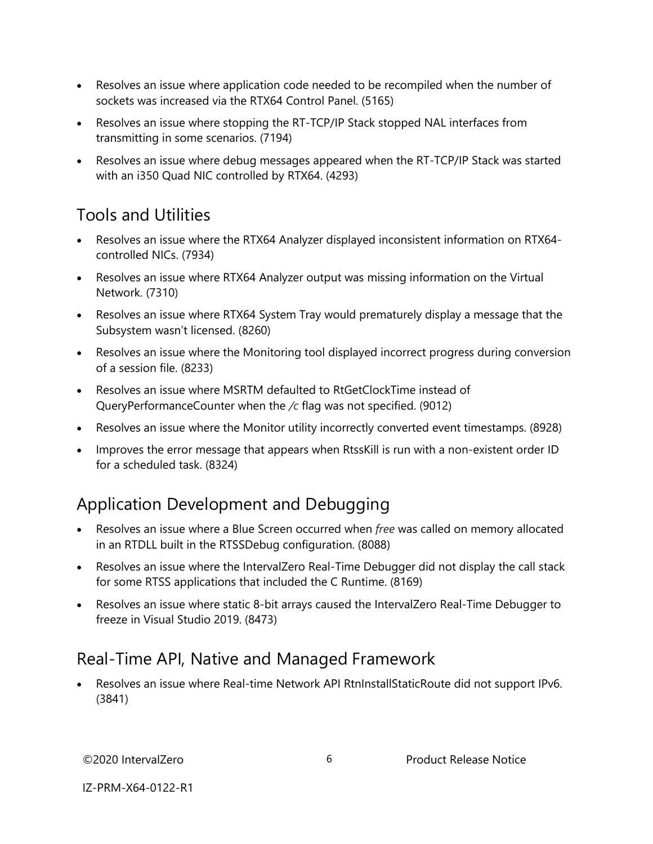- Resolves an issue where application code needed to be recompiled when the number of sockets was increased via the RTX64 Control Panel. (5165)
- Resolves an issue where stopping the RT-TCP/IP Stack stopped NAL interfaces from transmitting in some scenarios. (7194)
- Resolves an issue where debug messages appeared when the RT-TCP/IP Stack was started with an i350 Quad NIC controlled by RTX64. (4293)

#### Tools and Utilities

- Resolves an issue where the RTX64 Analyzer displayed inconsistent information on RTX64 controlled NICs. (7934)
- Resolves an issue where RTX64 Analyzer output was missing information on the Virtual Network. (7310)
- Resolves an issue where RTX64 System Tray would prematurely display a message that the Subsystem wasn't licensed. (8260)
- Resolves an issue where the Monitoring tool displayed incorrect progress during conversion of a session file. (8233)
- Resolves an issue where MSRTM defaulted to RtGetClockTime instead of QueryPerformanceCounter when the */c* flag was not specified. (9012)
- Resolves an issue where the Monitor utility incorrectly converted event timestamps. (8928)
- Improves the error message that appears when RtssKill is run with a non-existent order ID for a scheduled task. (8324)

#### Application Development and Debugging

- Resolves an issue where a Blue Screen occurred when *free* was called on memory allocated in an RTDLL built in the RTSSDebug configuration. (8088)
- Resolves an issue where the IntervalZero Real-Time Debugger did not display the call stack for some RTSS applications that included the C Runtime. (8169)
- Resolves an issue where static 8-bit arrays caused the IntervalZero Real-Time Debugger to freeze in Visual Studio 2019. (8473)

#### Real-Time API, Native and Managed Framework

 Resolves an issue where Real-time Network API RtnInstallStaticRoute did not support IPv6. (3841)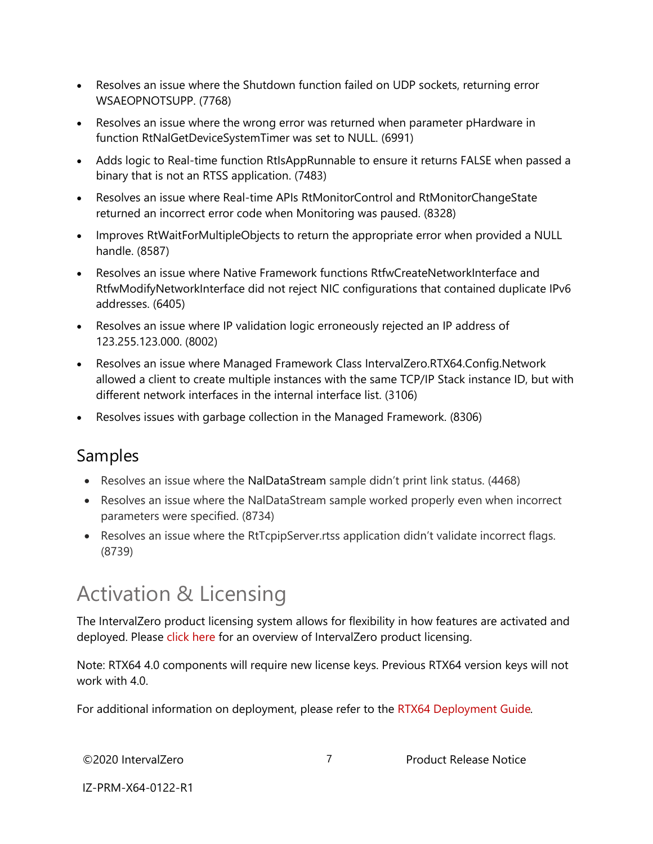- Resolves an issue where the Shutdown function failed on UDP sockets, returning error WSAEOPNOTSUPP. (7768)
- Resolves an issue where the wrong error was returned when parameter pHardware in function RtNalGetDeviceSystemTimer was set to NULL. (6991)
- Adds logic to Real-time function RtIsAppRunnable to ensure it returns FALSE when passed a binary that is not an RTSS application. (7483)
- Resolves an issue where Real-time APIs RtMonitorControl and RtMonitorChangeState returned an incorrect error code when Monitoring was paused. (8328)
- Improves RtWaitForMultipleObjects to return the appropriate error when provided a NULL handle. (8587)
- Resolves an issue where Native Framework functions RtfwCreateNetworkInterface and RtfwModifyNetworkInterface did not reject NIC configurations that contained duplicate IPv6 addresses. (6405)
- Resolves an issue where IP validation logic erroneously rejected an IP address of 123.255.123.000. (8002)
- Resolves an issue where Managed Framework Class IntervalZero.RTX64.Config.Network allowed a client to create multiple instances with the same TCP/IP Stack instance ID, but with different network interfaces in the internal interface list. (3106)
- Resolves issues with garbage collection in the Managed Framework. (8306)

#### Samples

- Resolves an issue where the NalDataStream sample didn't print link status. (4468)
- Resolves an issue where the NalDataStream sample worked properly even when incorrect parameters were specified. (8734)
- Resolves an issue where the RtTcpipServer.rtss application didn't validate incorrect flags. (8739)

## Activation & Licensing

The IntervalZero product licensing system allows for flexibility in how features are activated and deployed. Please [click here](http://www.intervalzero.com/rtx-product-activation/) for an overview of IntervalZero product licensing.

Note: RTX64 4.0 components will require new license keys. Previous RTX64 version keys will not work with 4.0.

For additional information on deployment, please refer to the [RTX64 Deployment Guide](https://www.intervalzero.com/technical-support/guides-and-minitutorials/)*.*

IZ-PRM-X64-0122-R1